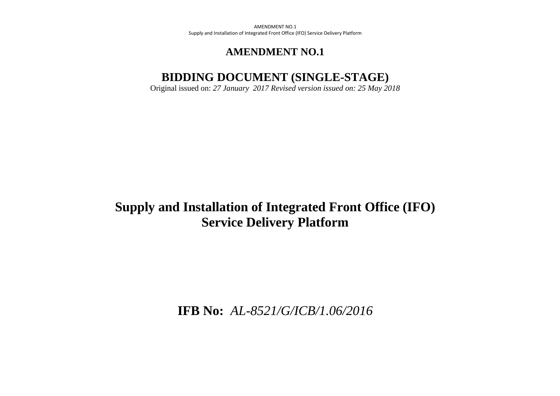AMENDMENT NO.1 Supply and Installation of Integrated Front Office (IFO) Service Delivery Platform

#### **AMENDMENT NO.1**

### **BIDDING DOCUMENT (SINGLE-STAGE)**

Original issued on: *27 January 2017 Revised version issued on: 25 May 2018*

# **Supply and Installation of Integrated Front Office (IFO) Service Delivery Platform**

**IFB No:** *AL-8521/G/ICB/1.06/2016*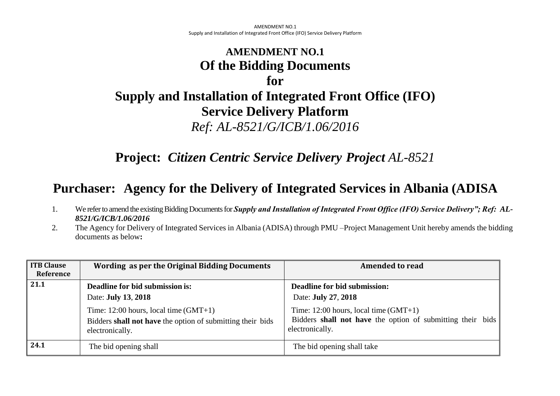# **AMENDMENT NO.1 Of the Bidding Documents for Supply and Installation of Integrated Front Office (IFO) Service Delivery Platform** *Ref: AL-8521/G/ICB/1.06/2016*

## **Project:** *Citizen Centric Service Delivery Project AL-8521*

## **Purchaser: Agency for the Delivery of Integrated Services in Albania (ADISA**

- 1. We refer to amend the existing Bidding Documents for *Supply and Installation of Integrated Front Office (IFO) Service Delivery"; Ref: AL-8521/G/ICB/1.06/2016*
- 2. The Agency for Delivery of Integrated Services in Albania (ADISA) through PMU –Project Management Unit hereby amends the bidding documents as below**:**

| <b>ITB Clause</b><br>Reference | Wording as per the Original Bidding Documents                                                                              | <b>Amended to read</b>                                                                                                   |
|--------------------------------|----------------------------------------------------------------------------------------------------------------------------|--------------------------------------------------------------------------------------------------------------------------|
| 21.1                           | Deadline for bid submission is:<br>Date: <b>July 13, 2018</b>                                                              | Deadline for bid submission:<br>Date: July 27, 2018                                                                      |
|                                | Time: $12:00$ hours, local time $(GMT+1)$<br>Bidders shall not have the option of submitting their bids<br>electronically. | Time: $12:00$ hours, local time (GMT+1)<br>Bidders shall not have the option of submitting their bids<br>electronically. |
| 24.1                           | The bid opening shall                                                                                                      | The bid opening shall take                                                                                               |